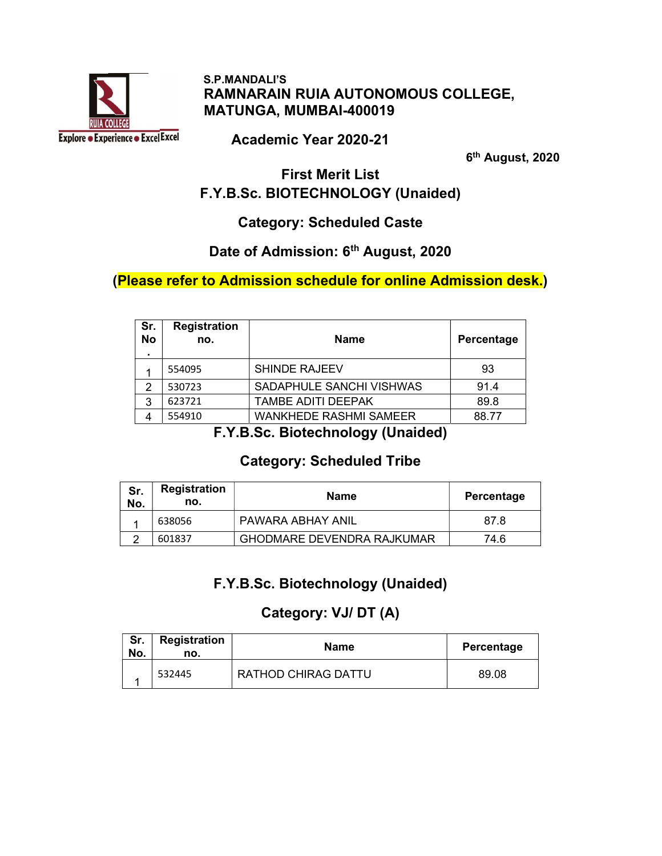

#### S.P.MANDALI'S RAMNARAIN RUIA AUTONOMOUS COLLEGE, MATUNGA, MUMBAI-400019

Academic Year 2020-21

6<sup>th</sup> August, 2020

#### First Merit List F.Y.B.Sc. BIOTECHNOLOGY (Unaided)

#### Category: Scheduled Caste

### Date of Admission: 6<sup>th</sup> August, 2020

#### (Please refer to Admission schedule for online Admission desk.)

| Sr.<br><b>No</b><br>$\blacksquare$ | <b>Registration</b><br>no. | <b>Name</b>                   | Percentage |
|------------------------------------|----------------------------|-------------------------------|------------|
|                                    | 554095                     | <b>SHINDE RAJEEV</b>          | 93         |
| 2                                  | 530723                     | SADAPHULE SANCHI VISHWAS      | 91.4       |
| 3                                  | 623721                     | <b>TAMBE ADITI DEEPAK</b>     | 89.8       |
|                                    | 554910                     | <b>WANKHEDE RASHMI SAMEER</b> | 88.77      |

F.Y.B.Sc. Biotechnology (Unaided)

#### Category: Scheduled Tribe

| Sr.<br>No. | <b>Registration</b><br>no. | <b>Name</b>                       | Percentage |
|------------|----------------------------|-----------------------------------|------------|
|            | 638056                     | PAWARA ABHAY ANIL                 | 87.8       |
|            | 601837                     | <b>GHODMARE DEVENDRA RAJKUMAR</b> | 74.6       |

## F.Y.B.Sc. Biotechnology (Unaided)

## Category: VJ/ DT (A)

| Sr.<br>No. | Registration<br>no. | <b>Name</b>                | Percentage |
|------------|---------------------|----------------------------|------------|
|            | 532445              | <b>RATHOD CHIRAG DATTU</b> | 89.08      |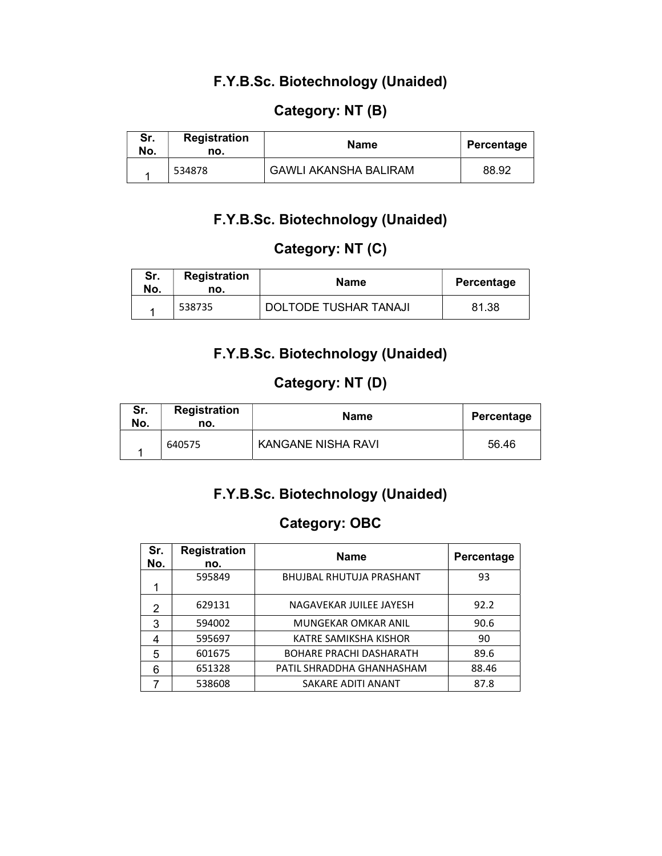#### F.Y.B.Sc. Biotechnology (Unaided)

### Category: NT (B)

| Sr.<br>No. | <b>Registration</b><br>no. | Name                         | Percentage |
|------------|----------------------------|------------------------------|------------|
|            | 534878                     | <b>GAWLI AKANSHA BALIRAM</b> | 88.92      |

#### F.Y.B.Sc. Biotechnology (Unaided)

### Category: NT (C)

| Sr.<br>No. | <b>Registration</b><br>no. | <b>Name</b>                  | Percentage |
|------------|----------------------------|------------------------------|------------|
|            | 538735                     | <b>DOLTODE TUSHAR TANAJI</b> | 81.38      |

### F.Y.B.Sc. Biotechnology (Unaided)

#### Category: NT (D)

| Sr.<br>No. | Registration<br>no. | Name               | Percentage |
|------------|---------------------|--------------------|------------|
|            | 640575              | KANGANE NISHA RAVI | 56.46      |

#### F.Y.B.Sc. Biotechnology (Unaided)

### Category: OBC

| Sr.<br>No. | <b>Registration</b><br>no. | <b>Name</b>                     | Percentage |
|------------|----------------------------|---------------------------------|------------|
|            | 595849                     | <b>BHUJBAL RHUTUJA PRASHANT</b> | 93         |
| 2          | 629131                     | NAGAVEKAR JUILEE JAYESH         | 92.2       |
| 3          | 594002                     | <b>MUNGEKAR OMKAR ANIL</b>      | 90.6       |
|            | 595697                     | KATRE SAMIKSHA KISHOR           | 90         |
| 5          | 601675                     | <b>BOHARE PRACHI DASHARATH</b>  | 89.6       |
| 6          | 651328                     | PATIL SHRADDHA GHANHASHAM       | 88.46      |
|            | 538608                     | SAKARE ADITI ANANT              | 87.8       |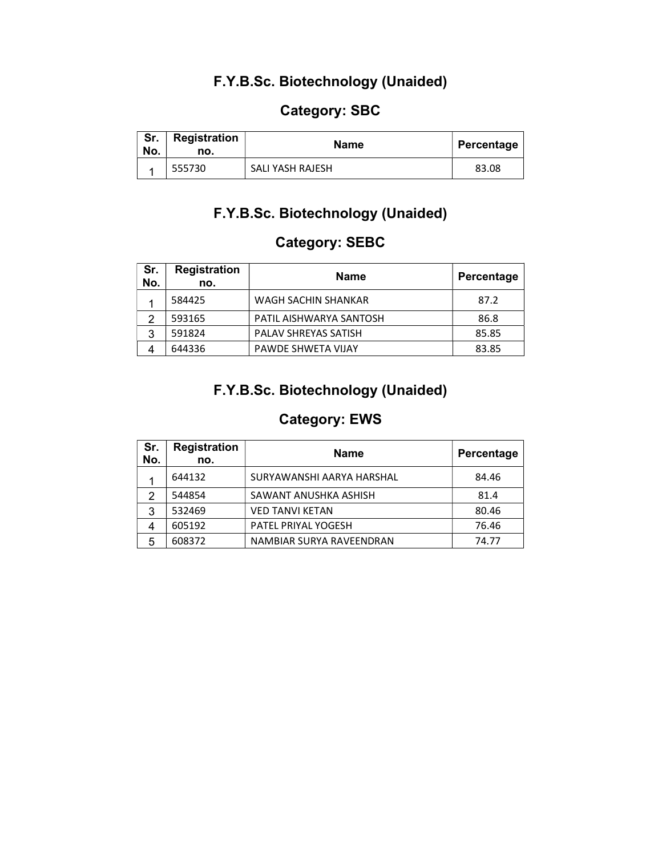### F.Y.B.Sc. Biotechnology (Unaided)

### Category: SBC

| Sr.<br>No. | <b>Registration</b><br>no. | Name                    | Percentage |
|------------|----------------------------|-------------------------|------------|
|            | 555730                     | <b>SALI YASH RAJESH</b> | 83.08      |

#### F.Y.B.Sc. Biotechnology (Unaided)

### Category: SEBC

| Sr.<br>No. | <b>Registration</b><br>no. | <b>Name</b>                 | Percentage |
|------------|----------------------------|-----------------------------|------------|
|            | 584425                     | WAGH SACHIN SHANKAR         | 87.2       |
| っ          | 593165                     | PATIL AISHWARYA SANTOSH     | 86.8       |
| 3          | 591824                     | <b>PALAV SHREYAS SATISH</b> | 85.85      |
|            | 644336                     | PAWDE SHWETA VIJAY          | 83.85      |

### F.Y.B.Sc. Biotechnology (Unaided)

### Category: EWS

| Sr.<br>No. | <b>Registration</b><br>no. | <b>Name</b>                | Percentage |
|------------|----------------------------|----------------------------|------------|
|            | 644132                     | SURYAWANSHI AARYA HARSHAL  | 84.46      |
| 2          | 544854                     | SAWANT ANUSHKA ASHISH      | 81.4       |
| 3          | 532469                     | <b>VED TANVI KETAN</b>     | 80.46      |
| 4          | 605192                     | <b>PATEL PRIYAL YOGESH</b> | 76.46      |
| 5          | 608372                     | NAMBIAR SURYA RAVEENDRAN   | 74.77      |